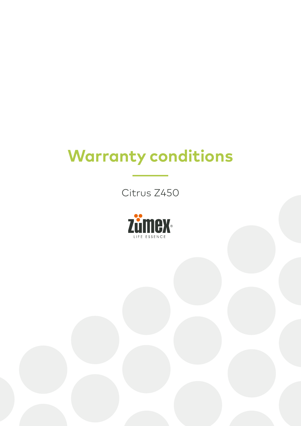## **Warranty conditions**

Citrus Z450

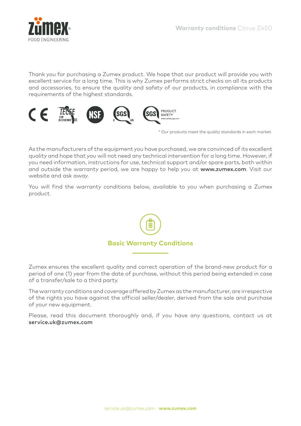

Thank you for purchasing a Zumex product. We hope that our product will provide you with excellent service for a long time. This is why Zumex performs strict checks on all its products and accessories, to ensure the quality and safety of our products, in compliance with the requirements of the highest standards.



\* Our products meet the quality standards in each market.

As the manufacturers of the equipment you have purchased, we are convinced of its excellent quality and hope that you will not need any technical intervention for a long time. However, if you need information, instructions for use, technical support and/or spare parts, both within and outside the warranty period, we are happy to help you at www.zumex.com. Visit our website and ask away.

You will find the warranty conditions below, available to you when purchasing a Zumex product.



Zumex ensures the excellent quality and correct operation of the brand-new product for a period of one (1) year from the date of purchase, without this period being extended in case of a transfer/sale to a third party.

The warranty conditions and coverage offered by Zumex as the manufacturer, are irrespective of the rights you have against the official seller/dealer, derived from the sale and purchase of your new equipment.

Please, read this document thoroughly and, if you have any questions, contact us at service.uk@zumex.com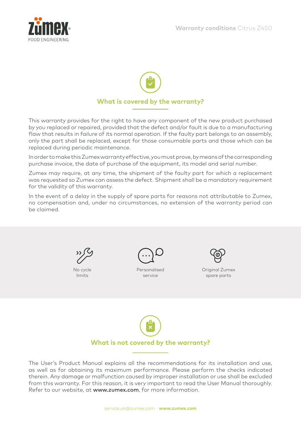



This warranty provides for the right to have any component of the new product purchased by you replaced or repaired, provided that the defect and/or fault is due to a manufacturing flaw that results in failure of its normal operation. If the faulty part belongs to an assembly, only the part shall be replaced, except for those consumable parts and those which can be replaced during periodic maintenance.

In order to make this Zumex warranty effective, you must prove, by means of the corresponding purchase invoice, the date of purchase of the equipment, its model and serial number.

Zumex may require, at any time, the shipment of the faulty part for which a replacement was requested so Zumex can assess the defect. Shipment shall be a mandatory requirement for the validity of this warranty.

In the event of a delay in the supply of spare parts for reasons not attributable to Zumex, no compensation and, under no circumstances, no extension of the warranty period can be claimed.



No cycle limits



Personalised service



Original Zumex spare parts



The User's Product Manual explains all the recommendations for its installation and use, as well as for obtaining its maximum performance. Please perform the checks indicated therein. Any damage or malfunction caused by improper installation or use shall be excluded from this warranty. For this reason, it is very important to read the User Manual thoroughly. Refer to our website, at www.zumex.com, for more information.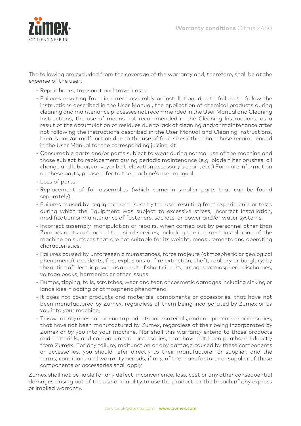

The following are excluded from the coverage of the warranty and, therefore, shall be at the expense of the user:

- Repair hours, transport and travel costs
- Failures resulting from incorrect assembly or installation, due to failure to follow the instructions described in the User Manual, the application of chemical products during cleaning and maintenance processes not recommended in the User Manual and Cleaning Instructions, the use of means not recommended in the Cleaning Instructions, as a result of the accumulation of residues due to lack of cleaning and/or maintenance after not following the instructions described in the User Manual and Cleaning Instructions, breaks and/or malfunction due to the use of fruit sizes other than those recommended in the User Manual for the corresponding juicing kit.
- Consumable parts and/or parts subject to wear during normal use of the machine and those subject to replacement during periodic maintenance (e.g. blade filter brushes, oil change and labour, conveyor belt, elevation accessory's chain, etc.) For more information on these parts, please refer to the machine's user manual.
- Loss of parts.
- Replacement of full assemblies (which come in smaller parts that can be found separately).
- Failures caused by negligence or misuse by the user resulting from experiments or tests during which the Equipment was subject to excessive stress, incorrect installation, modification or maintenance of fasteners, sockets, or power and/or water systems.
- Incorrect assembly, manipulation or repairs, when carried out by personnel other than Zumex's or its authorised technical services, including the incorrect installation of the machine on surfaces that are not suitable for its weight, measurements and operating characteristics.
- Failures caused by unforeseen circumstances, force majeure (atmospheric or geological phenomena), accidents, fire, explosions or fire extinction, theft, robbery or burglary; by the action of electric power as a result of short circuits, outages, atmospheric discharges, voltage peaks, harmonics or other issues.
- Bumps, tipping, falls, scratches, wear and tear, or cosmetic damages including sinking or landslides, flooding or atmospheric phenomena.
- It does not cover products and materials, components or accessories, that have not been manufactured by Zumex, regardless of them being incorporated by Zumex or by you into your machine.
- This warranty does not extend to products and materials, and components or accessories, that have not been manufactured by Zumex, regardless of their being incorporated by Zumex or by you into your machine. Nor shall this warranty extend to those products and materials, and components or accessories, that have not been purchased directly from Zumex. For any failure, malfunction or any damage caused by these components or accessories, you should refer directly to their manufacturer or supplier, and the terms, conditions and warranty periods, if any, of the manufacturer or supplier of these components or accessories shall apply.

Zumex shall not be liable for any defect, inconvenience, loss, cost or any other consequential damages arising out of the use or inability to use the product, or the breach of any express or implied warranty.